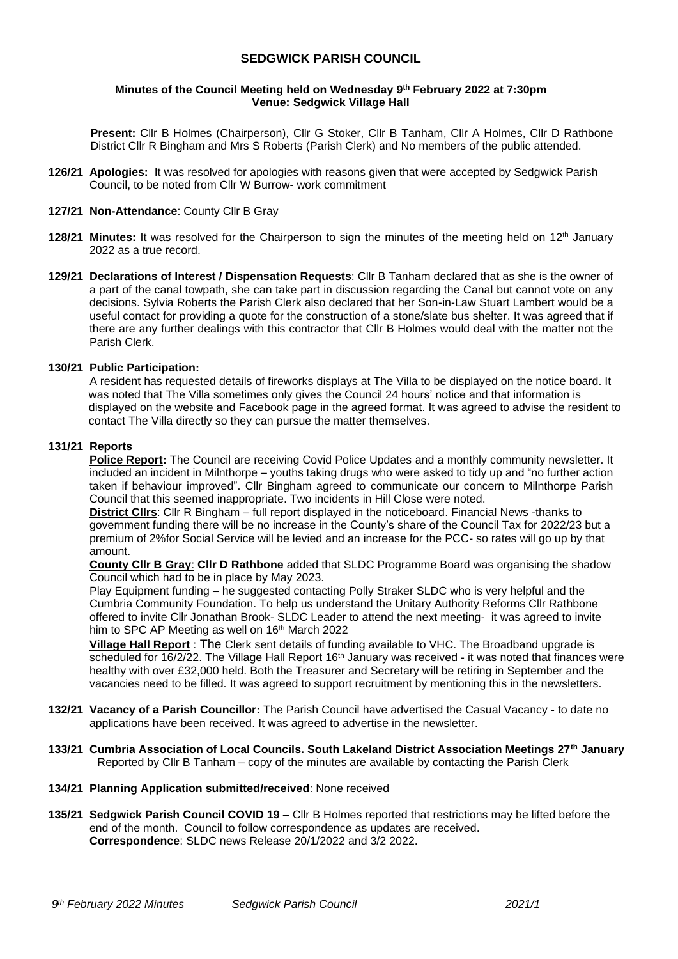# **SEDGWICK PARISH COUNCIL**

### **Minutes of the Council Meeting held on Wednesday 9 th February 2022 at 7:30pm Venue: Sedgwick Village Hall**

**Present:** Cllr B Holmes (Chairperson), Cllr G Stoker, Cllr B Tanham, Cllr A Holmes, Cllr D Rathbone District Cllr R Bingham and Mrs S Roberts (Parish Clerk) and No members of the public attended.

**126/21 Apologies:** It was resolved for apologies with reasons given that were accepted by Sedgwick Parish Council, to be noted from Cllr W Burrow- work commitment

### **127/21 Non-Attendance**: County Cllr B Gray

- **128/21 Minutes:** It was resolved for the Chairperson to sign the minutes of the meeting held on 12<sup>th</sup> January 2022 as a true record.
- **129/21 Declarations of Interest / Dispensation Requests**: Cllr B Tanham declared that as she is the owner of a part of the canal towpath, she can take part in discussion regarding the Canal but cannot vote on any decisions. Sylvia Roberts the Parish Clerk also declared that her Son-in-Law Stuart Lambert would be a useful contact for providing a quote for the construction of a stone/slate bus shelter. It was agreed that if there are any further dealings with this contractor that Cllr B Holmes would deal with the matter not the Parish Clerk.

### **130/21 Public Participation:**

 A resident has requested details of fireworks displays at The Villa to be displayed on the notice board. It was noted that The Villa sometimes only gives the Council 24 hours' notice and that information is displayed on the website and Facebook page in the agreed format. It was agreed to advise the resident to contact The Villa directly so they can pursue the matter themselves.

### **131/21 Reports**

**Police Report:** The Council are receiving Covid Police Updates and a monthly community newsletter. It included an incident in Milnthorpe – youths taking drugs who were asked to tidy up and "no further action taken if behaviour improved". Cllr Bingham agreed to communicate our concern to Milnthorpe Parish Council that this seemed inappropriate. Two incidents in Hill Close were noted.

**District Cllrs**: Cllr R Bingham – full report displayed in the noticeboard. Financial News -thanks to government funding there will be no increase in the County's share of the Council Tax for 2022/23 but a premium of 2%for Social Service will be levied and an increase for the PCC- so rates will go up by that amount.

**County Cllr B Gray**: **Cllr D Rathbone** added that SLDC Programme Board was organising the shadow Council which had to be in place by May 2023.

Play Equipment funding – he suggested contacting Polly Straker SLDC who is very helpful and the Cumbria Community Foundation. To help us understand the Unitary Authority Reforms Cllr Rathbone offered to invite Cllr Jonathan Brook- SLDC Leader to attend the next meeting- it was agreed to invite him to SPC AP Meeting as well on 16<sup>th</sup> March 2022

**Village Hall Report** : The Clerk sent details of funding available to VHC. The Broadband upgrade is scheduled for 16/2/22. The Village Hall Report 16<sup>th</sup> January was received - it was noted that finances were healthy with over £32,000 held. Both the Treasurer and Secretary will be retiring in September and the vacancies need to be filled. It was agreed to support recruitment by mentioning this in the newsletters.

- **132/21 Vacancy of a Parish Councillor:** The Parish Council have advertised the Casual Vacancy to date no applications have been received. It was agreed to advertise in the newsletter.
- **133/21 Cumbria Association of Local Councils. South Lakeland District Association Meetings 27th January** Reported by Cllr B Tanham – copy of the minutes are available by contacting the Parish Clerk
- **134/21 Planning Application submitted/received**: None received
- **135/21 Sedgwick Parish Council COVID 19**  Cllr B Holmes reported that restrictions may be lifted before the end of the month. Council to follow correspondence as updates are received. **Correspondence**: SLDC news Release 20/1/2022 and 3/2 2022.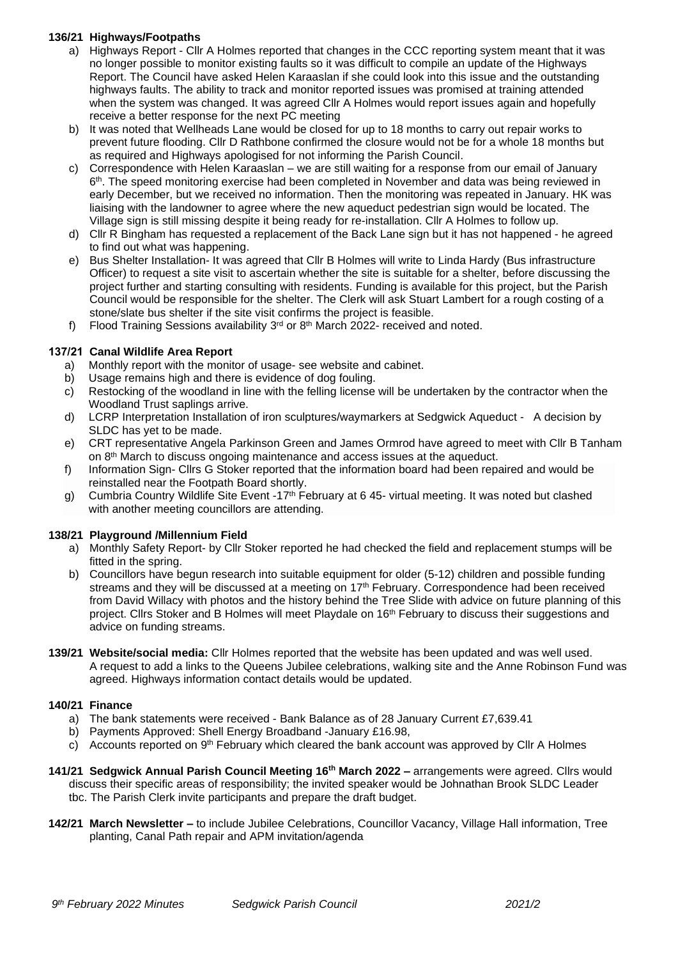## **136/21 Highways/Footpaths**

- a) Highways Report Cllr A Holmes reported that changes in the CCC reporting system meant that it was no longer possible to monitor existing faults so it was difficult to compile an update of the Highways Report. The Council have asked Helen Karaaslan if she could look into this issue and the outstanding highways faults. The ability to track and monitor reported issues was promised at training attended when the system was changed. It was agreed Cllr A Holmes would report issues again and hopefully receive a better response for the next PC meeting
- b) It was noted that Wellheads Lane would be closed for up to 18 months to carry out repair works to prevent future flooding. Cllr D Rathbone confirmed the closure would not be for a whole 18 months but as required and Highways apologised for not informing the Parish Council.
- c) Correspondence with Helen Karaaslan we are still waiting for a response from our email of January  $6<sup>th</sup>$ . The speed monitoring exercise had been completed in November and data was being reviewed in early December, but we received no information. Then the monitoring was repeated in January. HK was liaising with the landowner to agree where the new aqueduct pedestrian sign would be located. The Village sign is still missing despite it being ready for re-installation. Cllr A Holmes to follow up.
- d) Cllr R Bingham has requested a replacement of the Back Lane sign but it has not happened he agreed to find out what was happening.
- e) Bus Shelter Installation- It was agreed that Cllr B Holmes will write to Linda Hardy (Bus infrastructure Officer) to request a site visit to ascertain whether the site is suitable for a shelter, before discussing the project further and starting consulting with residents. Funding is available for this project, but the Parish Council would be responsible for the shelter. The Clerk will ask Stuart Lambert for a rough costing of a stone/slate bus shelter if the site visit confirms the project is feasible.
- f) Flood Training Sessions availability 3<sup>rd</sup> or 8<sup>th</sup> March 2022- received and noted.

# **137/21 Canal Wildlife Area Report**

- a) Monthly report with the monitor of usage- see website and cabinet.
- b) Usage remains high and there is evidence of dog fouling.
- c) Restocking of the woodland in line with the felling license will be undertaken by the contractor when the Woodland Trust saplings arrive.
- d) LCRP Interpretation Installation of iron sculptures/waymarkers at Sedgwick Aqueduct A decision by SLDC has yet to be made.
- e) CRT representative Angela Parkinson Green and James Ormrod have agreed to meet with Cllr B Tanham on 8th March to discuss ongoing maintenance and access issues at the aqueduct.
- f) Information Sign- Cllrs G Stoker reported that the information board had been repaired and would be reinstalled near the Footpath Board shortly.
- g) Cumbria Country Wildlife Site Event -17<sup>th</sup> February at 6 45- virtual meeting. It was noted but clashed with another meeting councillors are attending.

## **138/21 Playground /Millennium Field**

- a) Monthly Safety Report- by Cllr Stoker reported he had checked the field and replacement stumps will be fitted in the spring.
- b) Councillors have begun research into suitable equipment for older (5-12) children and possible funding streams and they will be discussed at a meeting on 17<sup>th</sup> February. Correspondence had been received from David Willacy with photos and the history behind the Tree Slide with advice on future planning of this project. Cllrs Stoker and B Holmes will meet Playdale on 16<sup>th</sup> February to discuss their suggestions and advice on funding streams.
- **139/21 Website/social media:** Cllr Holmes reported that the website has been updated and was well used. A request to add a links to the Queens Jubilee celebrations, walking site and the Anne Robinson Fund was agreed. Highways information contact details would be updated.

## **140/21 Finance**

- a) The bank statements were received Bank Balance as of 28 January Current £7,639.41
- b) Payments Approved: Shell Energy Broadband -January £16.98,
- c) Accounts reported on 9<sup>th</sup> February which cleared the bank account was approved by Cllr A Holmes
- **141/21 Sedgwick Annual Parish Council Meeting 16th March 2022 –** arrangements were agreed. Cllrs would discuss their specific areas of responsibility; the invited speaker would be Johnathan Brook SLDC Leader tbc. The Parish Clerk invite participants and prepare the draft budget.
- **142/21 March Newsletter –** to include Jubilee Celebrations, Councillor Vacancy, Village Hall information, Tree planting, Canal Path repair and APM invitation/agenda